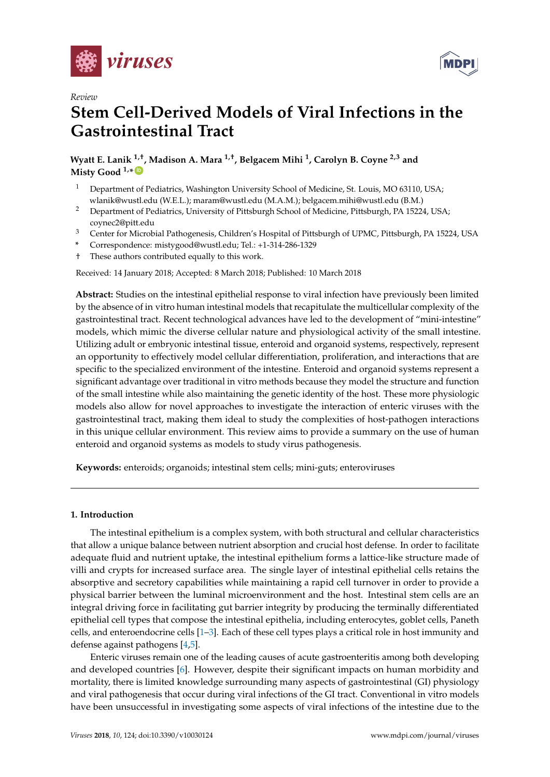

*Review*



# **Stem Cell-Derived Models of Viral Infections in the Gastrointestinal Tract**

**Wyatt E. Lanik 1,†, Madison A. Mara 1,†, Belgacem Mihi <sup>1</sup> , Carolyn B. Coyne 2,3 and Misty Good 1,\* [ID](https://orcid.org/0000-0002-0264-5721)**

- <sup>1</sup> Department of Pediatrics, Washington University School of Medicine, St. Louis, MO 63110, USA; wlanik@wustl.edu (W.E.L.); maram@wustl.edu (M.A.M.); belgacem.mihi@wustl.edu (B.M.)
- <sup>2</sup> Department of Pediatrics, University of Pittsburgh School of Medicine, Pittsburgh, PA 15224, USA; coynec2@pitt.edu
- <sup>3</sup> Center for Microbial Pathogenesis, Children's Hospital of Pittsburgh of UPMC, Pittsburgh, PA 15224, USA
- **\*** Correspondence: mistygood@wustl.edu; Tel.: +1-314-286-1329
- † These authors contributed equally to this work.

Received: 14 January 2018; Accepted: 8 March 2018; Published: 10 March 2018

**Abstract:** Studies on the intestinal epithelial response to viral infection have previously been limited by the absence of in vitro human intestinal models that recapitulate the multicellular complexity of the gastrointestinal tract. Recent technological advances have led to the development of "mini-intestine" models, which mimic the diverse cellular nature and physiological activity of the small intestine. Utilizing adult or embryonic intestinal tissue, enteroid and organoid systems, respectively, represent an opportunity to effectively model cellular differentiation, proliferation, and interactions that are specific to the specialized environment of the intestine. Enteroid and organoid systems represent a significant advantage over traditional in vitro methods because they model the structure and function of the small intestine while also maintaining the genetic identity of the host. These more physiologic models also allow for novel approaches to investigate the interaction of enteric viruses with the gastrointestinal tract, making them ideal to study the complexities of host-pathogen interactions in this unique cellular environment. This review aims to provide a summary on the use of human enteroid and organoid systems as models to study virus pathogenesis.

**Keywords:** enteroids; organoids; intestinal stem cells; mini-guts; enteroviruses

## **1. Introduction**

The intestinal epithelium is a complex system, with both structural and cellular characteristics that allow a unique balance between nutrient absorption and crucial host defense. In order to facilitate adequate fluid and nutrient uptake, the intestinal epithelium forms a lattice-like structure made of villi and crypts for increased surface area. The single layer of intestinal epithelial cells retains the absorptive and secretory capabilities while maintaining a rapid cell turnover in order to provide a physical barrier between the luminal microenvironment and the host. Intestinal stem cells are an integral driving force in facilitating gut barrier integrity by producing the terminally differentiated epithelial cell types that compose the intestinal epithelia, including enterocytes, goblet cells, Paneth cells, and enteroendocrine cells [\[1](#page-8-0)[–3\]](#page-8-1). Each of these cell types plays a critical role in host immunity and defense against pathogens [\[4,](#page-9-0)[5\]](#page-9-1).

Enteric viruses remain one of the leading causes of acute gastroenteritis among both developing and developed countries [\[6\]](#page-9-2). However, despite their significant impacts on human morbidity and mortality, there is limited knowledge surrounding many aspects of gastrointestinal (GI) physiology and viral pathogenesis that occur during viral infections of the GI tract. Conventional in vitro models have been unsuccessful in investigating some aspects of viral infections of the intestine due to the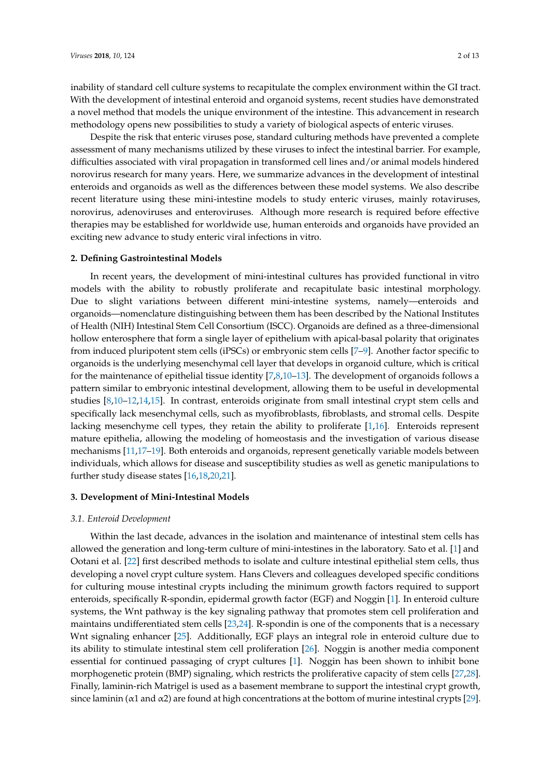inability of standard cell culture systems to recapitulate the complex environment within the GI tract. With the development of intestinal enteroid and organoid systems, recent studies have demonstrated a novel method that models the unique environment of the intestine. This advancement in research methodology opens new possibilities to study a variety of biological aspects of enteric viruses.

Despite the risk that enteric viruses pose, standard culturing methods have prevented a complete assessment of many mechanisms utilized by these viruses to infect the intestinal barrier. For example, difficulties associated with viral propagation in transformed cell lines and/or animal models hindered norovirus research for many years. Here, we summarize advances in the development of intestinal enteroids and organoids as well as the differences between these model systems. We also describe recent literature using these mini-intestine models to study enteric viruses, mainly rotaviruses, norovirus, adenoviruses and enteroviruses. Although more research is required before effective therapies may be established for worldwide use, human enteroids and organoids have provided an exciting new advance to study enteric viral infections in vitro.

## **2. Defining Gastrointestinal Models**

In recent years, the development of mini-intestinal cultures has provided functional in vitro models with the ability to robustly proliferate and recapitulate basic intestinal morphology. Due to slight variations between different mini-intestine systems, namely—enteroids and organoids—nomenclature distinguishing between them has been described by the National Institutes of Health (NIH) Intestinal Stem Cell Consortium (ISCC). Organoids are defined as a three-dimensional hollow enterosphere that form a single layer of epithelium with apical-basal polarity that originates from induced pluripotent stem cells (iPSCs) or embryonic stem cells [\[7](#page-9-3)[–9\]](#page-9-4). Another factor specific to organoids is the underlying mesenchymal cell layer that develops in organoid culture, which is critical for the maintenance of epithelial tissue identity [\[7,](#page-9-3)[8,](#page-9-5)[10](#page-9-6)[–13\]](#page-9-7). The development of organoids follows a pattern similar to embryonic intestinal development, allowing them to be useful in developmental studies [\[8](#page-9-5)[,10–](#page-9-6)[12,](#page-9-8)[14](#page-9-9)[,15\]](#page-9-10). In contrast, enteroids originate from small intestinal crypt stem cells and specifically lack mesenchymal cells, such as myofibroblasts, fibroblasts, and stromal cells. Despite lacking mesenchyme cell types, they retain the ability to proliferate [\[1](#page-8-0)[,16\]](#page-9-11). Enteroids represent mature epithelia, allowing the modeling of homeostasis and the investigation of various disease mechanisms [\[11,](#page-9-12)[17–](#page-9-13)[19\]](#page-9-14). Both enteroids and organoids, represent genetically variable models between individuals, which allows for disease and susceptibility studies as well as genetic manipulations to further study disease states [\[16,](#page-9-11)[18,](#page-9-15)[20](#page-9-16)[,21\]](#page-9-17).

### **3. Development of Mini-Intestinal Models**

## *3.1. Enteroid Development*

Within the last decade, advances in the isolation and maintenance of intestinal stem cells has allowed the generation and long-term culture of mini-intestines in the laboratory. Sato et al. [\[1\]](#page-8-0) and Ootani et al. [\[22\]](#page-9-18) first described methods to isolate and culture intestinal epithelial stem cells, thus developing a novel crypt culture system. Hans Clevers and colleagues developed specific conditions for culturing mouse intestinal crypts including the minimum growth factors required to support enteroids, specifically R-spondin, epidermal growth factor (EGF) and Noggin [\[1\]](#page-8-0). In enteroid culture systems, the Wnt pathway is the key signaling pathway that promotes stem cell proliferation and maintains undifferentiated stem cells [\[23,](#page-9-19)[24\]](#page-10-0). R-spondin is one of the components that is a necessary Wnt signaling enhancer [\[25\]](#page-10-1). Additionally, EGF plays an integral role in enteroid culture due to its ability to stimulate intestinal stem cell proliferation [\[26\]](#page-10-2). Noggin is another media component essential for continued passaging of crypt cultures [\[1\]](#page-8-0). Noggin has been shown to inhibit bone morphogenetic protein (BMP) signaling, which restricts the proliferative capacity of stem cells [\[27](#page-10-3)[,28\]](#page-10-4). Finally, laminin-rich Matrigel is used as a basement membrane to support the intestinal crypt growth, since laminin ( $\alpha$ 1 and  $\alpha$ 2) are found at high concentrations at the bottom of murine intestinal crypts [\[29\]](#page-10-5).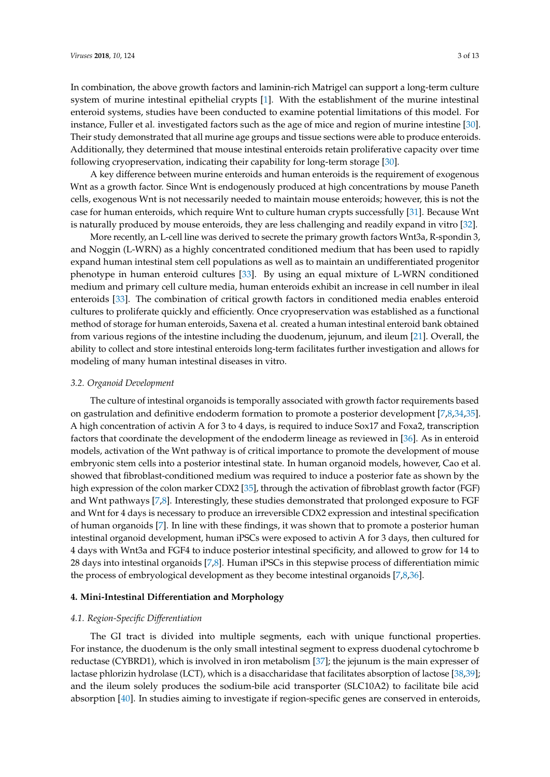In combination, the above growth factors and laminin-rich Matrigel can support a long-term culture system of murine intestinal epithelial crypts [\[1\]](#page-8-0). With the establishment of the murine intestinal enteroid systems, studies have been conducted to examine potential limitations of this model. For instance, Fuller et al. investigated factors such as the age of mice and region of murine intestine [\[30\]](#page-10-6). Their study demonstrated that all murine age groups and tissue sections were able to produce enteroids. Additionally, they determined that mouse intestinal enteroids retain proliferative capacity over time following cryopreservation, indicating their capability for long-term storage [\[30\]](#page-10-6).

A key difference between murine enteroids and human enteroids is the requirement of exogenous Wnt as a growth factor. Since Wnt is endogenously produced at high concentrations by mouse Paneth cells, exogenous Wnt is not necessarily needed to maintain mouse enteroids; however, this is not the case for human enteroids, which require Wnt to culture human crypts successfully [\[31\]](#page-10-7). Because Wnt is naturally produced by mouse enteroids, they are less challenging and readily expand in vitro [\[32\]](#page-10-8).

More recently, an L-cell line was derived to secrete the primary growth factors Wnt3a, R-spondin 3, and Noggin (L-WRN) as a highly concentrated conditioned medium that has been used to rapidly expand human intestinal stem cell populations as well as to maintain an undifferentiated progenitor phenotype in human enteroid cultures [\[33\]](#page-10-9). By using an equal mixture of L-WRN conditioned medium and primary cell culture media, human enteroids exhibit an increase in cell number in ileal enteroids [\[33\]](#page-10-9). The combination of critical growth factors in conditioned media enables enteroid cultures to proliferate quickly and efficiently. Once cryopreservation was established as a functional method of storage for human enteroids, Saxena et al. created a human intestinal enteroid bank obtained from various regions of the intestine including the duodenum, jejunum, and ileum [\[21\]](#page-9-17). Overall, the ability to collect and store intestinal enteroids long-term facilitates further investigation and allows for modeling of many human intestinal diseases in vitro.

### *3.2. Organoid Development*

The culture of intestinal organoids is temporally associated with growth factor requirements based on gastrulation and definitive endoderm formation to promote a posterior development [\[7,](#page-9-3)[8,](#page-9-5)[34,](#page-10-10)[35\]](#page-10-11). A high concentration of activin A for 3 to 4 days, is required to induce Sox17 and Foxa2, transcription factors that coordinate the development of the endoderm lineage as reviewed in [\[36\]](#page-10-12). As in enteroid models, activation of the Wnt pathway is of critical importance to promote the development of mouse embryonic stem cells into a posterior intestinal state. In human organoid models, however, Cao et al. showed that fibroblast-conditioned medium was required to induce a posterior fate as shown by the high expression of the colon marker CDX2 [\[35\]](#page-10-11), through the activation of fibroblast growth factor (FGF) and Wnt pathways [\[7](#page-9-3)[,8\]](#page-9-5). Interestingly, these studies demonstrated that prolonged exposure to FGF and Wnt for 4 days is necessary to produce an irreversible CDX2 expression and intestinal specification of human organoids [\[7\]](#page-9-3). In line with these findings, it was shown that to promote a posterior human intestinal organoid development, human iPSCs were exposed to activin A for 3 days, then cultured for 4 days with Wnt3a and FGF4 to induce posterior intestinal specificity, and allowed to grow for 14 to 28 days into intestinal organoids [\[7](#page-9-3)[,8\]](#page-9-5). Human iPSCs in this stepwise process of differentiation mimic the process of embryological development as they become intestinal organoids [\[7,](#page-9-3)[8,](#page-9-5)[36\]](#page-10-12).

## **4. Mini-Intestinal Differentiation and Morphology**

## *4.1. Region-Specific Differentiation*

The GI tract is divided into multiple segments, each with unique functional properties. For instance, the duodenum is the only small intestinal segment to express duodenal cytochrome b reductase (CYBRD1), which is involved in iron metabolism [\[37\]](#page-10-13); the jejunum is the main expresser of lactase phlorizin hydrolase (LCT), which is a disaccharidase that facilitates absorption of lactose [\[38](#page-10-14)[,39\]](#page-10-15); and the ileum solely produces the sodium-bile acid transporter (SLC10A2) to facilitate bile acid absorption [\[40\]](#page-10-16). In studies aiming to investigate if region-specific genes are conserved in enteroids,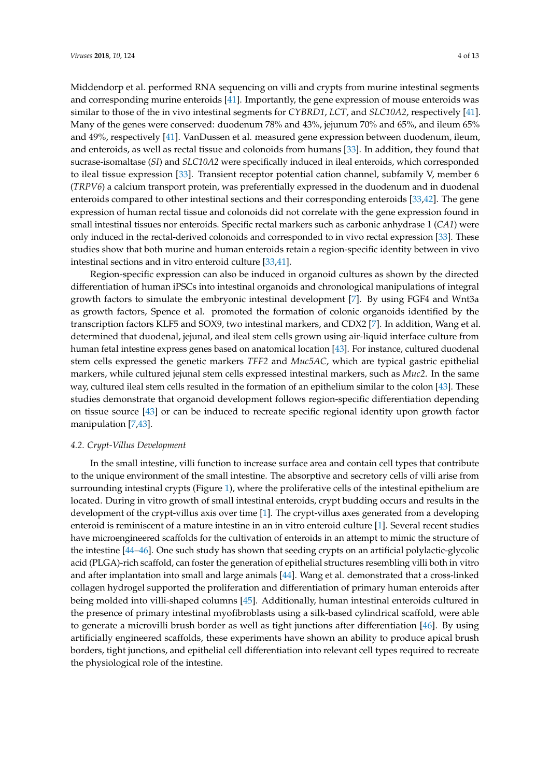Middendorp et al. performed RNA sequencing on villi and crypts from murine intestinal segments and corresponding murine enteroids [\[41\]](#page-10-17). Importantly, the gene expression of mouse enteroids was similar to those of the in vivo intestinal segments for *CYBRD1*, *LCT*, and *SLC10A2*, respectively [\[41\]](#page-10-17). Many of the genes were conserved: duodenum 78% and 43%, jejunum 70% and 65%, and ileum 65% and 49%, respectively [\[41\]](#page-10-17). VanDussen et al. measured gene expression between duodenum, ileum, and enteroids, as well as rectal tissue and colonoids from humans [\[33\]](#page-10-9). In addition, they found that

sucrase-isomaltase (*SI*) and *SLC10A2* were specifically induced in ileal enteroids, which corresponded to ileal tissue expression [\[33\]](#page-10-9). Transient receptor potential cation channel, subfamily V, member 6 (*TRPV6*) a calcium transport protein, was preferentially expressed in the duodenum and in duodenal enteroids compared to other intestinal sections and their corresponding enteroids [\[33](#page-10-9)[,42\]](#page-10-18). The gene expression of human rectal tissue and colonoids did not correlate with the gene expression found in small intestinal tissues nor enteroids. Specific rectal markers such as carbonic anhydrase 1 (*CA1*) were only induced in the rectal-derived colonoids and corresponded to in vivo rectal expression [\[33\]](#page-10-9). These studies show that both murine and human enteroids retain a region-specific identity between in vivo intestinal sections and in vitro enteroid culture [\[33](#page-10-9)[,41\]](#page-10-17).

Region-specific expression can also be induced in organoid cultures as shown by the directed differentiation of human iPSCs into intestinal organoids and chronological manipulations of integral growth factors to simulate the embryonic intestinal development [\[7\]](#page-9-3). By using FGF4 and Wnt3a as growth factors, Spence et al. promoted the formation of colonic organoids identified by the transcription factors KLF5 and SOX9, two intestinal markers, and CDX2 [\[7\]](#page-9-3). In addition, Wang et al. determined that duodenal, jejunal, and ileal stem cells grown using air-liquid interface culture from human fetal intestine express genes based on anatomical location [\[43\]](#page-10-19). For instance, cultured duodenal stem cells expressed the genetic markers *TFF2* and *Muc5AC*, which are typical gastric epithelial markers, while cultured jejunal stem cells expressed intestinal markers, such as *Muc2*. In the same way, cultured ileal stem cells resulted in the formation of an epithelium similar to the colon [\[43\]](#page-10-19). These studies demonstrate that organoid development follows region-specific differentiation depending on tissue source [\[43\]](#page-10-19) or can be induced to recreate specific regional identity upon growth factor manipulation [\[7,](#page-9-3)[43\]](#page-10-19).

## *4.2. Crypt-Villus Development*

In the small intestine, villi function to increase surface area and contain cell types that contribute to the unique environment of the small intestine. The absorptive and secretory cells of villi arise from surrounding intestinal crypts (Figure [1\)](#page-4-0), where the proliferative cells of the intestinal epithelium are located. During in vitro growth of small intestinal enteroids, crypt budding occurs and results in the development of the crypt-villus axis over time [\[1\]](#page-8-0). The crypt-villus axes generated from a developing enteroid is reminiscent of a mature intestine in an in vitro enteroid culture [\[1\]](#page-8-0). Several recent studies have microengineered scaffolds for the cultivation of enteroids in an attempt to mimic the structure of the intestine [\[44–](#page-11-0)[46\]](#page-11-1). One such study has shown that seeding crypts on an artificial polylactic-glycolic acid (PLGA)-rich scaffold, can foster the generation of epithelial structures resembling villi both in vitro and after implantation into small and large animals [\[44\]](#page-11-0). Wang et al. demonstrated that a cross-linked collagen hydrogel supported the proliferation and differentiation of primary human enteroids after being molded into villi-shaped columns [\[45\]](#page-11-2). Additionally, human intestinal enteroids cultured in the presence of primary intestinal myofibroblasts using a silk-based cylindrical scaffold, were able to generate a microvilli brush border as well as tight junctions after differentiation [\[46\]](#page-11-1). By using artificially engineered scaffolds, these experiments have shown an ability to produce apical brush borders, tight junctions, and epithelial cell differentiation into relevant cell types required to recreate the physiological role of the intestine.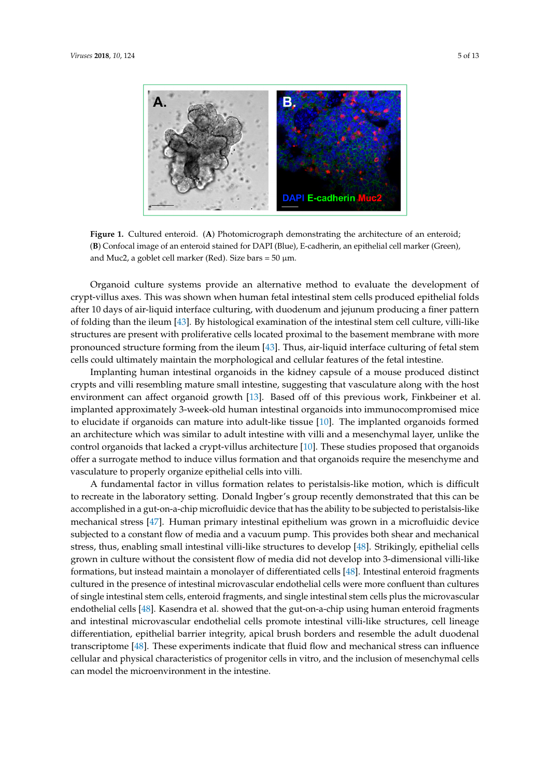<span id="page-4-0"></span>

**DAPI E-cadherin** 

Figure 1. Cultured enteroid. (A) Photomicrograph demonstrating the architecture of an enteroid; Confocal image of an enteroid stained for DAPI (Blue), E-cadherin, an epithelial cell marker (Green), (**B**) Confocal image of an enteroid stained for DAPI (Blue), E-cadherin, an epithelial cell marker (Green), and Muc2, a goblet cell marker (Red). Size bars =  $50 \mu m$ .

Implanting human intestinal organoids in the kidney capsule of a mouse produced distinct Organoid culture systems provide an alternative method to evaluate the development of crypt-villus axes. This was shown when human fetal intestinal stem cells produced epithelial folds after 10 days of air-liquid interface culturing, with duodenum and jejunum producing a finer pattern of folding than the ileum [\[43\]](#page-10-19). By histological examination of the intestinal stem cell culture, villi-like structures are present with proliferative cells located proximal to the basement membrane with more pronounced structure forming from the ileum [\[43\]](#page-10-19). Thus, air-liquid interface culturing of fetal stem cells could ultimately maintain the morphological and cellular features of the fetal intestine.

Implanting human intestinal organoids in the kidney capsule of a mouse produced distinct crypts and villi resembling mature small intestine, suggesting that vasculature along with the host environment can affect organoid growth [\[13\]](#page-9-7). Based off of this previous work, Finkbeiner et al. implanted approximately 3-week-old human intestinal organoids into immunocompromised mice to elucidate if organoids can mature into adult-like tissue [\[10\]](#page-9-6). The implanted organoids formed an architecture which was similar to adult intestine with villi and a mesenchymal layer, unlike the control organoids that lacked a crypt-villus architecture [\[10\]](#page-9-6). These studies proposed that organoids offer a surrogate method to induce villus formation and that organoids require the mesenchyme and vasculature to properly organize epithelial cells into villi.

A fundamental factor in villus formation relates to peristalsis-like motion, which is difficult to recreate in the laboratory setting. Donald Ingber's group recently demonstrated that this can be accomplished in a gut-on-a-chip microfluidic device that has the ability to be subjected to peristalsis-like mechanical stress [\[47\]](#page-11-3). Human primary intestinal epithelium was grown in a microfluidic device subjected to a constant flow of media and a vacuum pump. This provides both shear and mechanical stress, thus, enabling small intestinal villi-like structures to develop [\[48\]](#page-11-4). Strikingly, epithelial cells grown in culture without the consistent flow of media did not develop into 3-dimensional villi-like formations, but instead maintain a monolayer of differentiated cells [\[48\]](#page-11-4). Intestinal enteroid fragments *4.3. Cell Types within Crypts*  of single intestinal stem cells, enteroid fragments, and single intestinal stem cells plus the microvascular and intestinal microvascular endothelial cells promote intestinal villi-like structures, cell lineage differentiation, epithelial barrier integrity, apical brush borders and resemble the adult duodenal transcriptome [\[48\]](#page-11-4). These experiments indicate that fluid flow and mechanical stress can influence cellular and physical characteristics of progenitor cells in vitro, and the inclusion of mesenchymal cells  $\frac{1}{2}$  can model the microenvironment in the intestine. and plating individual cells [1]. In cells expressing the *Lgr5* gene, enteroids formed more efficiently, cultured in the presence of intestinal microvascular endothelial cells were more confluent than cultures endothelial cells [\[48\]](#page-11-4). Kasendra et al. showed that the gut-on-a-chip using human enteroid fragments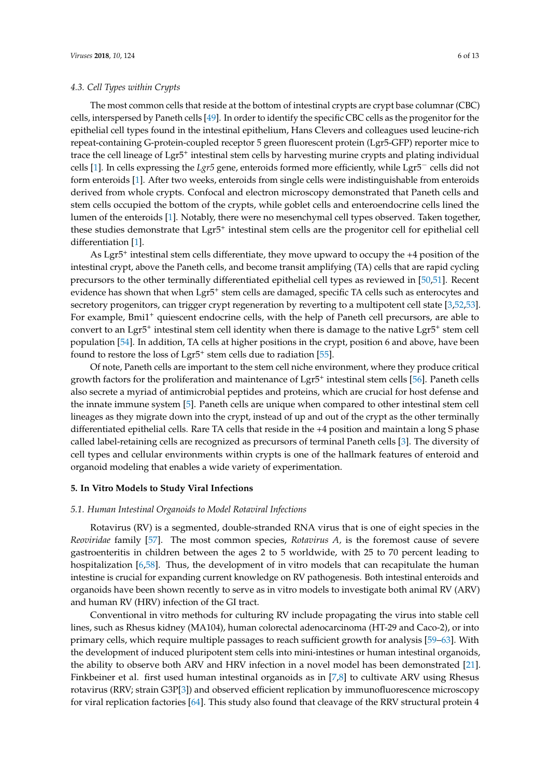## *4.3. Cell Types within Crypts*

The most common cells that reside at the bottom of intestinal crypts are crypt base columnar (CBC) cells, interspersed by Paneth cells [\[49\]](#page-11-5). In order to identify the specific CBC cells as the progenitor for the epithelial cell types found in the intestinal epithelium, Hans Clevers and colleagues used leucine-rich repeat-containing G-protein-coupled receptor 5 green fluorescent protein (Lgr5-GFP) reporter mice to trace the cell lineage of Lgr5<sup>+</sup> intestinal stem cells by harvesting murine crypts and plating individual cells [\[1\]](#page-8-0). In cells expressing the *Lgr5* gene, enteroids formed more efficiently, while Lgr5<sup>−</sup> cells did not form enteroids [\[1\]](#page-8-0). After two weeks, enteroids from single cells were indistinguishable from enteroids derived from whole crypts. Confocal and electron microscopy demonstrated that Paneth cells and stem cells occupied the bottom of the crypts, while goblet cells and enteroendocrine cells lined the lumen of the enteroids [\[1\]](#page-8-0). Notably, there were no mesenchymal cell types observed. Taken together, these studies demonstrate that Lgr5<sup>+</sup> intestinal stem cells are the progenitor cell for epithelial cell differentiation [\[1\]](#page-8-0).

As Lgr5<sup>+</sup> intestinal stem cells differentiate, they move upward to occupy the +4 position of the intestinal crypt, above the Paneth cells, and become transit amplifying (TA) cells that are rapid cycling precursors to the other terminally differentiated epithelial cell types as reviewed in [\[50,](#page-11-6)[51\]](#page-11-7). Recent evidence has shown that when Lgr5<sup>+</sup> stem cells are damaged, specific TA cells such as enterocytes and secretory progenitors, can trigger crypt regeneration by reverting to a multipotent cell state [\[3,](#page-8-1)[52,](#page-11-8)[53\]](#page-11-9). For example, Bmi1<sup>+</sup> quiescent endocrine cells, with the help of Paneth cell precursors, are able to convert to an Lgr5<sup>+</sup> intestinal stem cell identity when there is damage to the native Lgr5<sup>+</sup> stem cell population [\[54\]](#page-11-10). In addition, TA cells at higher positions in the crypt, position 6 and above, have been found to restore the loss of Lgr5<sup>+</sup> stem cells due to radiation [\[55\]](#page-11-11).

Of note, Paneth cells are important to the stem cell niche environment, where they produce critical growth factors for the proliferation and maintenance of Lgr5<sup>+</sup> intestinal stem cells [\[56\]](#page-11-12). Paneth cells also secrete a myriad of antimicrobial peptides and proteins, which are crucial for host defense and the innate immune system [\[5\]](#page-9-1). Paneth cells are unique when compared to other intestinal stem cell lineages as they migrate down into the crypt, instead of up and out of the crypt as the other terminally differentiated epithelial cells. Rare TA cells that reside in the +4 position and maintain a long S phase called label-retaining cells are recognized as precursors of terminal Paneth cells [\[3\]](#page-8-1). The diversity of cell types and cellular environments within crypts is one of the hallmark features of enteroid and organoid modeling that enables a wide variety of experimentation.

## **5. In Vitro Models to Study Viral Infections**

## *5.1. Human Intestinal Organoids to Model Rotaviral Infections*

Rotavirus (RV) is a segmented, double-stranded RNA virus that is one of eight species in the *Reoviridae* family [\[57\]](#page-11-13). The most common species, *Rotavirus A,* is the foremost cause of severe gastroenteritis in children between the ages 2 to 5 worldwide, with 25 to 70 percent leading to hospitalization [\[6](#page-9-2)[,58\]](#page-11-14). Thus, the development of in vitro models that can recapitulate the human intestine is crucial for expanding current knowledge on RV pathogenesis. Both intestinal enteroids and organoids have been shown recently to serve as in vitro models to investigate both animal RV (ARV) and human RV (HRV) infection of the GI tract.

Conventional in vitro methods for culturing RV include propagating the virus into stable cell lines, such as Rhesus kidney (MA104), human colorectal adenocarcinoma (HT-29 and Caco-2), or into primary cells, which require multiple passages to reach sufficient growth for analysis [\[59–](#page-11-15)[63\]](#page-11-16). With the development of induced pluripotent stem cells into mini-intestines or human intestinal organoids, the ability to observe both ARV and HRV infection in a novel model has been demonstrated [\[21\]](#page-9-17). Finkbeiner et al. first used human intestinal organoids as in [\[7](#page-9-3)[,8\]](#page-9-5) to cultivate ARV using Rhesus rotavirus (RRV; strain G3P[\[3\]](#page-8-1)) and observed efficient replication by immunofluorescence microscopy for viral replication factories [\[64\]](#page-12-0). This study also found that cleavage of the RRV structural protein 4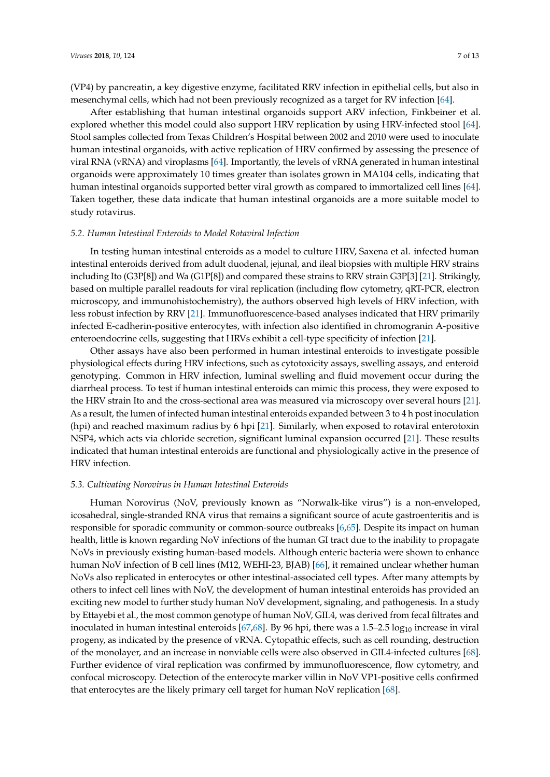(VP4) by pancreatin, a key digestive enzyme, facilitated RRV infection in epithelial cells, but also in mesenchymal cells, which had not been previously recognized as a target for RV infection [\[64\]](#page-12-0).

After establishing that human intestinal organoids support ARV infection, Finkbeiner et al. explored whether this model could also support HRV replication by using HRV-infected stool [\[64\]](#page-12-0). Stool samples collected from Texas Children's Hospital between 2002 and 2010 were used to inoculate human intestinal organoids, with active replication of HRV confirmed by assessing the presence of viral RNA (vRNA) and viroplasms [\[64\]](#page-12-0). Importantly, the levels of vRNA generated in human intestinal organoids were approximately 10 times greater than isolates grown in MA104 cells, indicating that human intestinal organoids supported better viral growth as compared to immortalized cell lines [\[64\]](#page-12-0). Taken together, these data indicate that human intestinal organoids are a more suitable model to study rotavirus.

## *5.2. Human Intestinal Enteroids to Model Rotaviral Infection*

In testing human intestinal enteroids as a model to culture HRV, Saxena et al. infected human intestinal enteroids derived from adult duodenal, jejunal, and ileal biopsies with multiple HRV strains including Ito (G3P[8]) and Wa (G1P[8]) and compared these strains to RRV strain G3P[3] [\[21\]](#page-9-17). Strikingly, based on multiple parallel readouts for viral replication (including flow cytometry, qRT-PCR, electron microscopy, and immunohistochemistry), the authors observed high levels of HRV infection, with less robust infection by RRV [\[21\]](#page-9-17). Immunofluorescence-based analyses indicated that HRV primarily infected E-cadherin-positive enterocytes, with infection also identified in chromogranin A-positive enteroendocrine cells, suggesting that HRVs exhibit a cell-type specificity of infection [\[21\]](#page-9-17).

Other assays have also been performed in human intestinal enteroids to investigate possible physiological effects during HRV infections, such as cytotoxicity assays, swelling assays, and enteroid genotyping. Common in HRV infection, luminal swelling and fluid movement occur during the diarrheal process. To test if human intestinal enteroids can mimic this process, they were exposed to the HRV strain Ito and the cross-sectional area was measured via microscopy over several hours [\[21\]](#page-9-17). As a result, the lumen of infected human intestinal enteroids expanded between 3 to 4 h post inoculation (hpi) and reached maximum radius by 6 hpi [\[21\]](#page-9-17). Similarly, when exposed to rotaviral enterotoxin NSP4, which acts via chloride secretion, significant luminal expansion occurred [\[21\]](#page-9-17). These results indicated that human intestinal enteroids are functional and physiologically active in the presence of HRV infection.

### *5.3. Cultivating Norovirus in Human Intestinal Enteroids*

Human Norovirus (NoV, previously known as "Norwalk-like virus") is a non-enveloped, icosahedral, single-stranded RNA virus that remains a significant source of acute gastroenteritis and is responsible for sporadic community or common-source outbreaks [\[6,](#page-9-2)[65\]](#page-12-1). Despite its impact on human health, little is known regarding NoV infections of the human GI tract due to the inability to propagate NoVs in previously existing human-based models. Although enteric bacteria were shown to enhance human NoV infection of B cell lines (M12, WEHI-23, BJAB) [\[66\]](#page-12-2), it remained unclear whether human NoVs also replicated in enterocytes or other intestinal-associated cell types. After many attempts by others to infect cell lines with NoV, the development of human intestinal enteroids has provided an exciting new model to further study human NoV development, signaling, and pathogenesis. In a study by Ettayebi et al., the most common genotype of human NoV, GII.4, was derived from fecal filtrates and inoculated in human intestinal enteroids  $[67,68]$  $[67,68]$ . By 96 hpi, there was a 1.5–2.5  $\log_{10}$  increase in viral progeny, as indicated by the presence of vRNA. Cytopathic effects, such as cell rounding, destruction of the monolayer, and an increase in nonviable cells were also observed in GII.4-infected cultures [\[68\]](#page-12-4). Further evidence of viral replication was confirmed by immunofluorescence, flow cytometry, and confocal microscopy. Detection of the enterocyte marker villin in NoV VP1-positive cells confirmed that enterocytes are the likely primary cell target for human NoV replication [\[68\]](#page-12-4).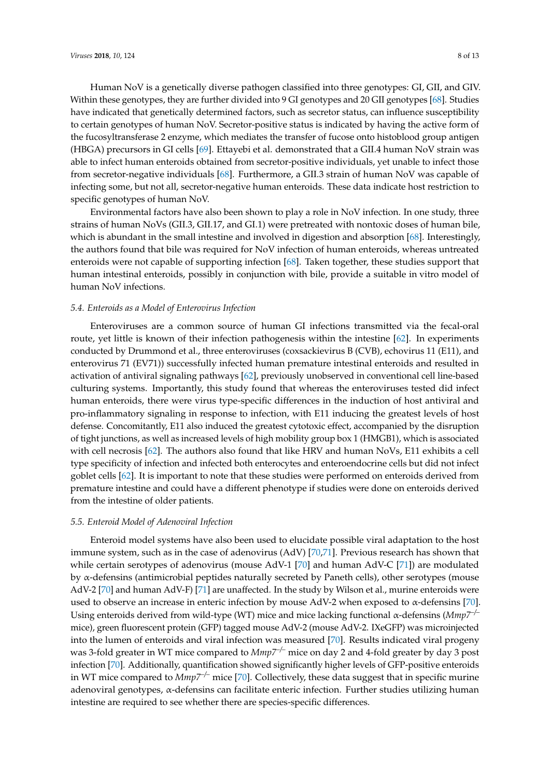Human NoV is a genetically diverse pathogen classified into three genotypes: GI, GII, and GIV. Within these genotypes, they are further divided into 9 GI genotypes and 20 GII genotypes [\[68\]](#page-12-4). Studies have indicated that genetically determined factors, such as secretor status, can influence susceptibility to certain genotypes of human NoV. Secretor-positive status is indicated by having the active form of the fucosyltransferase 2 enzyme, which mediates the transfer of fucose onto histoblood group antigen (HBGA) precursors in GI cells [\[69\]](#page-12-5). Ettayebi et al. demonstrated that a GII.4 human NoV strain was able to infect human enteroids obtained from secretor-positive individuals, yet unable to infect those from secretor-negative individuals [\[68\]](#page-12-4). Furthermore, a GII.3 strain of human NoV was capable of infecting some, but not all, secretor-negative human enteroids. These data indicate host restriction to specific genotypes of human NoV.

Environmental factors have also been shown to play a role in NoV infection. In one study, three strains of human NoVs (GII.3, GII.17, and GI.1) were pretreated with nontoxic doses of human bile, which is abundant in the small intestine and involved in digestion and absorption [\[68\]](#page-12-4). Interestingly, the authors found that bile was required for NoV infection of human enteroids, whereas untreated enteroids were not capable of supporting infection [\[68\]](#page-12-4). Taken together, these studies support that human intestinal enteroids, possibly in conjunction with bile, provide a suitable in vitro model of human NoV infections.

## *5.4. Enteroids as a Model of Enterovirus Infection*

Enteroviruses are a common source of human GI infections transmitted via the fecal-oral route, yet little is known of their infection pathogenesis within the intestine [\[62\]](#page-11-17). In experiments conducted by Drummond et al., three enteroviruses (coxsackievirus B (CVB), echovirus 11 (E11), and enterovirus 71 (EV71)) successfully infected human premature intestinal enteroids and resulted in activation of antiviral signaling pathways [\[62\]](#page-11-17), previously unobserved in conventional cell line-based culturing systems. Importantly, this study found that whereas the enteroviruses tested did infect human enteroids, there were virus type-specific differences in the induction of host antiviral and pro-inflammatory signaling in response to infection, with E11 inducing the greatest levels of host defense. Concomitantly, E11 also induced the greatest cytotoxic effect, accompanied by the disruption of tight junctions, as well as increased levels of high mobility group box 1 (HMGB1), which is associated with cell necrosis [\[62\]](#page-11-17). The authors also found that like HRV and human NoVs, E11 exhibits a cell type specificity of infection and infected both enterocytes and enteroendocrine cells but did not infect goblet cells [\[62\]](#page-11-17). It is important to note that these studies were performed on enteroids derived from premature intestine and could have a different phenotype if studies were done on enteroids derived from the intestine of older patients.

### *5.5. Enteroid Model of Adenoviral Infection*

Enteroid model systems have also been used to elucidate possible viral adaptation to the host immune system, such as in the case of adenovirus (AdV) [\[70,](#page-12-6)[71\]](#page-12-7). Previous research has shown that while certain serotypes of adenovirus (mouse AdV-1 [\[70\]](#page-12-6) and human AdV-C [\[71\]](#page-12-7)) are modulated by α-defensins (antimicrobial peptides naturally secreted by Paneth cells), other serotypes (mouse AdV-2 [\[70\]](#page-12-6) and human AdV-F) [\[71\]](#page-12-7) are unaffected. In the study by Wilson et al., murine enteroids were used to observe an increase in enteric infection by mouse AdV-2 when exposed to α-defensins [\[70\]](#page-12-6). Using enteroids derived from wild-type (WT) mice and mice lacking functional α-defensins (*Mmp7–/–* mice), green fluorescent protein (GFP) tagged mouse AdV-2 (mouse AdV-2. IXeGFP) was microinjected into the lumen of enteroids and viral infection was measured [\[70\]](#page-12-6). Results indicated viral progeny was 3-fold greater in WT mice compared to *Mmp7–/–* mice on day 2 and 4-fold greater by day 3 post infection [\[70\]](#page-12-6). Additionally, quantification showed significantly higher levels of GFP-positive enteroids in WT mice compared to *Mmp7–/–* mice [\[70\]](#page-12-6). Collectively, these data suggest that in specific murine adenoviral genotypes, α-defensins can facilitate enteric infection. Further studies utilizing human intestine are required to see whether there are species-specific differences.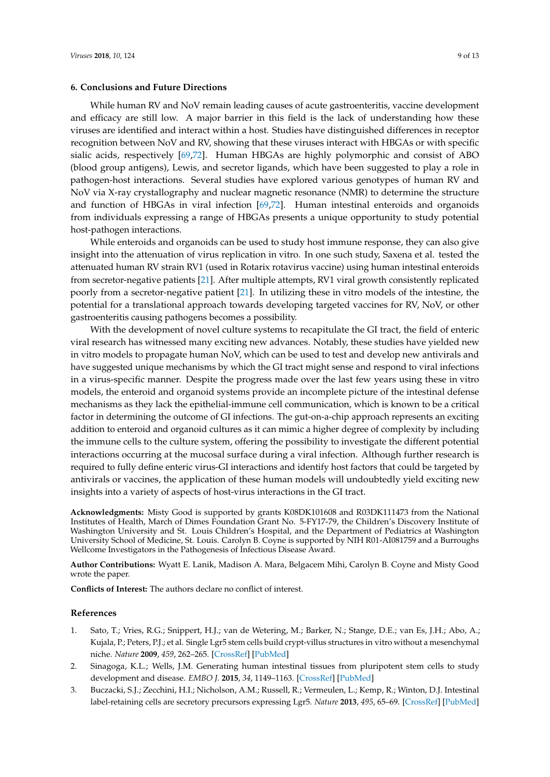## **6. Conclusions and Future Directions**

While human RV and NoV remain leading causes of acute gastroenteritis, vaccine development and efficacy are still low. A major barrier in this field is the lack of understanding how these viruses are identified and interact within a host. Studies have distinguished differences in receptor recognition between NoV and RV, showing that these viruses interact with HBGAs or with specific sialic acids, respectively [\[69,](#page-12-5)[72\]](#page-12-8). Human HBGAs are highly polymorphic and consist of ABO (blood group antigens), Lewis, and secretor ligands, which have been suggested to play a role in pathogen-host interactions. Several studies have explored various genotypes of human RV and NoV via X-ray crystallography and nuclear magnetic resonance (NMR) to determine the structure and function of HBGAs in viral infection [\[69](#page-12-5)[,72\]](#page-12-8). Human intestinal enteroids and organoids from individuals expressing a range of HBGAs presents a unique opportunity to study potential host-pathogen interactions.

While enteroids and organoids can be used to study host immune response, they can also give insight into the attenuation of virus replication in vitro. In one such study, Saxena et al. tested the attenuated human RV strain RV1 (used in Rotarix rotavirus vaccine) using human intestinal enteroids from secretor-negative patients [\[21\]](#page-9-17). After multiple attempts, RV1 viral growth consistently replicated poorly from a secretor-negative patient [\[21\]](#page-9-17). In utilizing these in vitro models of the intestine, the potential for a translational approach towards developing targeted vaccines for RV, NoV, or other gastroenteritis causing pathogens becomes a possibility.

With the development of novel culture systems to recapitulate the GI tract, the field of enteric viral research has witnessed many exciting new advances. Notably, these studies have yielded new in vitro models to propagate human NoV, which can be used to test and develop new antivirals and have suggested unique mechanisms by which the GI tract might sense and respond to viral infections in a virus-specific manner. Despite the progress made over the last few years using these in vitro models, the enteroid and organoid systems provide an incomplete picture of the intestinal defense mechanisms as they lack the epithelial-immune cell communication, which is known to be a critical factor in determining the outcome of GI infections. The gut-on-a-chip approach represents an exciting addition to enteroid and organoid cultures as it can mimic a higher degree of complexity by including the immune cells to the culture system, offering the possibility to investigate the different potential interactions occurring at the mucosal surface during a viral infection. Although further research is required to fully define enteric virus-GI interactions and identify host factors that could be targeted by antivirals or vaccines, the application of these human models will undoubtedly yield exciting new insights into a variety of aspects of host-virus interactions in the GI tract.

**Acknowledgments:** Misty Good is supported by grants K08DK101608 and R03DK111473 from the National Institutes of Health, March of Dimes Foundation Grant No. 5-FY17-79, the Children's Discovery Institute of Washington University and St. Louis Children's Hospital, and the Department of Pediatrics at Washington University School of Medicine, St. Louis. Carolyn B. Coyne is supported by NIH R01-AI081759 and a Burroughs Wellcome Investigators in the Pathogenesis of Infectious Disease Award.

**Author Contributions:** Wyatt E. Lanik, Madison A. Mara, Belgacem Mihi, Carolyn B. Coyne and Misty Good wrote the paper.

**Conflicts of Interest:** The authors declare no conflict of interest.

## **References**

- <span id="page-8-0"></span>1. Sato, T.; Vries, R.G.; Snippert, H.J.; van de Wetering, M.; Barker, N.; Stange, D.E.; van Es, J.H.; Abo, A.; Kujala, P.; Peters, P.J.; et al. Single Lgr5 stem cells build crypt-villus structures in vitro without a mesenchymal niche. *Nature* **2009**, *459*, 262–265. [\[CrossRef\]](http://dx.doi.org/10.1038/nature07935) [\[PubMed\]](http://www.ncbi.nlm.nih.gov/pubmed/19329995)
- 2. Sinagoga, K.L.; Wells, J.M. Generating human intestinal tissues from pluripotent stem cells to study development and disease. *EMBO J.* **2015**, *34*, 1149–1163. [\[CrossRef\]](http://dx.doi.org/10.15252/embj.201490686) [\[PubMed\]](http://www.ncbi.nlm.nih.gov/pubmed/25792515)
- <span id="page-8-1"></span>3. Buczacki, S.J.; Zecchini, H.I.; Nicholson, A.M.; Russell, R.; Vermeulen, L.; Kemp, R.; Winton, D.J. Intestinal label-retaining cells are secretory precursors expressing Lgr5. *Nature* **2013**, *495*, 65–69. [\[CrossRef\]](http://dx.doi.org/10.1038/nature11965) [\[PubMed\]](http://www.ncbi.nlm.nih.gov/pubmed/23446353)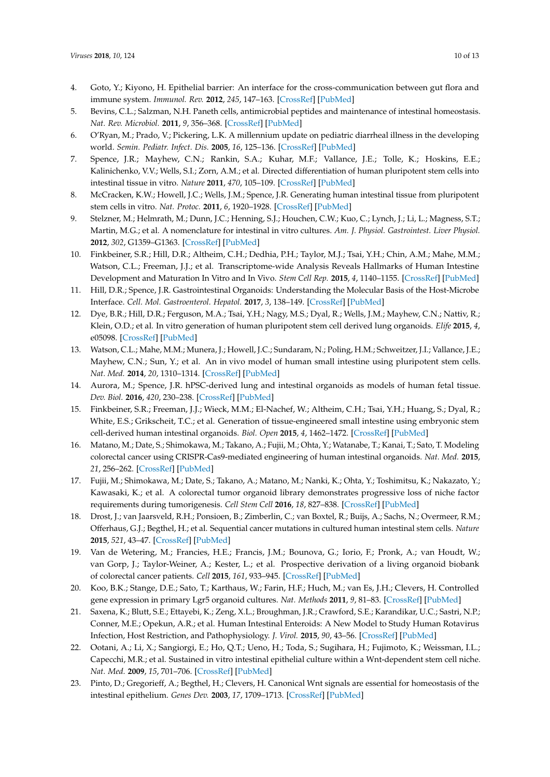- <span id="page-9-0"></span>4. Goto, Y.; Kiyono, H. Epithelial barrier: An interface for the cross-communication between gut flora and immune system. *Immunol. Rev.* **2012**, *245*, 147–163. [\[CrossRef\]](http://dx.doi.org/10.1111/j.1600-065X.2011.01078.x) [\[PubMed\]](http://www.ncbi.nlm.nih.gov/pubmed/22168418)
- <span id="page-9-1"></span>5. Bevins, C.L.; Salzman, N.H. Paneth cells, antimicrobial peptides and maintenance of intestinal homeostasis. *Nat. Rev. Microbiol.* **2011**, *9*, 356–368. [\[CrossRef\]](http://dx.doi.org/10.1038/nrmicro2546) [\[PubMed\]](http://www.ncbi.nlm.nih.gov/pubmed/21423246)
- <span id="page-9-2"></span>6. O'Ryan, M.; Prado, V.; Pickering, L.K. A millennium update on pediatric diarrheal illness in the developing world. *Semin. Pediatr. Infect. Dis.* **2005**, *16*, 125–136. [\[CrossRef\]](http://dx.doi.org/10.1053/j.spid.2005.12.008) [\[PubMed\]](http://www.ncbi.nlm.nih.gov/pubmed/15825143)
- <span id="page-9-3"></span>7. Spence, J.R.; Mayhew, C.N.; Rankin, S.A.; Kuhar, M.F.; Vallance, J.E.; Tolle, K.; Hoskins, E.E.; Kalinichenko, V.V.; Wells, S.I.; Zorn, A.M.; et al. Directed differentiation of human pluripotent stem cells into intestinal tissue in vitro. *Nature* **2011**, *470*, 105–109. [\[CrossRef\]](http://dx.doi.org/10.1038/nature09691) [\[PubMed\]](http://www.ncbi.nlm.nih.gov/pubmed/21151107)
- <span id="page-9-5"></span>8. McCracken, K.W.; Howell, J.C.; Wells, J.M.; Spence, J.R. Generating human intestinal tissue from pluripotent stem cells in vitro. *Nat. Protoc.* **2011**, *6*, 1920–1928. [\[CrossRef\]](http://dx.doi.org/10.1038/nprot.2011.410) [\[PubMed\]](http://www.ncbi.nlm.nih.gov/pubmed/22082986)
- <span id="page-9-4"></span>9. Stelzner, M.; Helmrath, M.; Dunn, J.C.; Henning, S.J.; Houchen, C.W.; Kuo, C.; Lynch, J.; Li, L.; Magness, S.T.; Martin, M.G.; et al. A nomenclature for intestinal in vitro cultures. *Am. J. Physiol. Gastrointest. Liver Physiol.* **2012**, *302*, G1359–G1363. [\[CrossRef\]](http://dx.doi.org/10.1152/ajpgi.00493.2011) [\[PubMed\]](http://www.ncbi.nlm.nih.gov/pubmed/22461030)
- <span id="page-9-6"></span>10. Finkbeiner, S.R.; Hill, D.R.; Altheim, C.H.; Dedhia, P.H.; Taylor, M.J.; Tsai, Y.H.; Chin, A.M.; Mahe, M.M.; Watson, C.L.; Freeman, J.J.; et al. Transcriptome-wide Analysis Reveals Hallmarks of Human Intestine Development and Maturation In Vitro and In Vivo. *Stem Cell Rep.* **2015**, *4*, 1140–1155. [\[CrossRef\]](http://dx.doi.org/10.1016/j.stemcr.2015.04.010) [\[PubMed\]](http://www.ncbi.nlm.nih.gov/pubmed/26050928)
- <span id="page-9-12"></span>11. Hill, D.R.; Spence, J.R. Gastrointestinal Organoids: Understanding the Molecular Basis of the Host-Microbe Interface. *Cell. Mol. Gastroenterol. Hepatol.* **2017**, *3*, 138–149. [\[CrossRef\]](http://dx.doi.org/10.1016/j.jcmgh.2016.11.007) [\[PubMed\]](http://www.ncbi.nlm.nih.gov/pubmed/28275681)
- <span id="page-9-8"></span>12. Dye, B.R.; Hill, D.R.; Ferguson, M.A.; Tsai, Y.H.; Nagy, M.S.; Dyal, R.; Wells, J.M.; Mayhew, C.N.; Nattiv, R.; Klein, O.D.; et al. In vitro generation of human pluripotent stem cell derived lung organoids. *Elife* **2015**, *4*, e05098. [\[CrossRef\]](http://dx.doi.org/10.7554/eLife.05098) [\[PubMed\]](http://www.ncbi.nlm.nih.gov/pubmed/25803487)
- <span id="page-9-7"></span>13. Watson, C.L.; Mahe, M.M.; Munera, J.; Howell, J.C.; Sundaram, N.; Poling, H.M.; Schweitzer, J.I.; Vallance, J.E.; Mayhew, C.N.; Sun, Y.; et al. An in vivo model of human small intestine using pluripotent stem cells. *Nat. Med.* **2014**, *20*, 1310–1314. [\[CrossRef\]](http://dx.doi.org/10.1038/nm.3737) [\[PubMed\]](http://www.ncbi.nlm.nih.gov/pubmed/25326803)
- <span id="page-9-9"></span>14. Aurora, M.; Spence, J.R. hPSC-derived lung and intestinal organoids as models of human fetal tissue. *Dev. Biol.* **2016**, *420*, 230–238. [\[CrossRef\]](http://dx.doi.org/10.1016/j.ydbio.2016.06.006) [\[PubMed\]](http://www.ncbi.nlm.nih.gov/pubmed/27287882)
- <span id="page-9-10"></span>15. Finkbeiner, S.R.; Freeman, J.J.; Wieck, M.M.; El-Nachef, W.; Altheim, C.H.; Tsai, Y.H.; Huang, S.; Dyal, R.; White, E.S.; Grikscheit, T.C.; et al. Generation of tissue-engineered small intestine using embryonic stem cell-derived human intestinal organoids. *Biol. Open* **2015**, *4*, 1462–1472. [\[CrossRef\]](http://dx.doi.org/10.1242/bio.013235) [\[PubMed\]](http://www.ncbi.nlm.nih.gov/pubmed/26459240)
- <span id="page-9-11"></span>16. Matano, M.; Date, S.; Shimokawa, M.; Takano, A.; Fujii, M.; Ohta, Y.; Watanabe, T.; Kanai, T.; Sato, T. Modeling colorectal cancer using CRISPR-Cas9-mediated engineering of human intestinal organoids. *Nat. Med.* **2015**, *21*, 256–262. [\[CrossRef\]](http://dx.doi.org/10.1038/nm.3802) [\[PubMed\]](http://www.ncbi.nlm.nih.gov/pubmed/25706875)
- <span id="page-9-13"></span>17. Fujii, M.; Shimokawa, M.; Date, S.; Takano, A.; Matano, M.; Nanki, K.; Ohta, Y.; Toshimitsu, K.; Nakazato, Y.; Kawasaki, K.; et al. A colorectal tumor organoid library demonstrates progressive loss of niche factor requirements during tumorigenesis. *Cell Stem Cell* **2016**, *18*, 827–838. [\[CrossRef\]](http://dx.doi.org/10.1016/j.stem.2016.04.003) [\[PubMed\]](http://www.ncbi.nlm.nih.gov/pubmed/27212702)
- <span id="page-9-15"></span>18. Drost, J.; van Jaarsveld, R.H.; Ponsioen, B.; Zimberlin, C.; van Boxtel, R.; Buijs, A.; Sachs, N.; Overmeer, R.M.; Offerhaus, G.J.; Begthel, H.; et al. Sequential cancer mutations in cultured human intestinal stem cells. *Nature* **2015**, *521*, 43–47. [\[CrossRef\]](http://dx.doi.org/10.1038/nature14415) [\[PubMed\]](http://www.ncbi.nlm.nih.gov/pubmed/25924068)
- <span id="page-9-14"></span>19. Van de Wetering, M.; Francies, H.E.; Francis, J.M.; Bounova, G.; Iorio, F.; Pronk, A.; van Houdt, W.; van Gorp, J.; Taylor-Weiner, A.; Kester, L.; et al. Prospective derivation of a living organoid biobank of colorectal cancer patients. *Cell* **2015**, *161*, 933–945. [\[CrossRef\]](http://dx.doi.org/10.1016/j.cell.2015.03.053) [\[PubMed\]](http://www.ncbi.nlm.nih.gov/pubmed/25957691)
- <span id="page-9-16"></span>20. Koo, B.K.; Stange, D.E.; Sato, T.; Karthaus, W.; Farin, H.F.; Huch, M.; van Es, J.H.; Clevers, H. Controlled gene expression in primary Lgr5 organoid cultures. *Nat. Methods* **2011**, *9*, 81–83. [\[CrossRef\]](http://dx.doi.org/10.1038/nmeth.1802) [\[PubMed\]](http://www.ncbi.nlm.nih.gov/pubmed/22138822)
- <span id="page-9-17"></span>21. Saxena, K.; Blutt, S.E.; Ettayebi, K.; Zeng, X.L.; Broughman, J.R.; Crawford, S.E.; Karandikar, U.C.; Sastri, N.P.; Conner, M.E.; Opekun, A.R.; et al. Human Intestinal Enteroids: A New Model to Study Human Rotavirus Infection, Host Restriction, and Pathophysiology. *J. Virol.* **2015**, *90*, 43–56. [\[CrossRef\]](http://dx.doi.org/10.1128/JVI.01930-15) [\[PubMed\]](http://www.ncbi.nlm.nih.gov/pubmed/26446608)
- <span id="page-9-18"></span>22. Ootani, A.; Li, X.; Sangiorgi, E.; Ho, Q.T.; Ueno, H.; Toda, S.; Sugihara, H.; Fujimoto, K.; Weissman, I.L.; Capecchi, M.R.; et al. Sustained in vitro intestinal epithelial culture within a Wnt-dependent stem cell niche. *Nat. Med.* **2009**, *15*, 701–706. [\[CrossRef\]](http://dx.doi.org/10.1038/nm.1951) [\[PubMed\]](http://www.ncbi.nlm.nih.gov/pubmed/19398967)
- <span id="page-9-19"></span>23. Pinto, D.; Gregorieff, A.; Begthel, H.; Clevers, H. Canonical Wnt signals are essential for homeostasis of the intestinal epithelium. *Genes Dev.* **2003**, *17*, 1709–1713. [\[CrossRef\]](http://dx.doi.org/10.1101/gad.267103) [\[PubMed\]](http://www.ncbi.nlm.nih.gov/pubmed/12865297)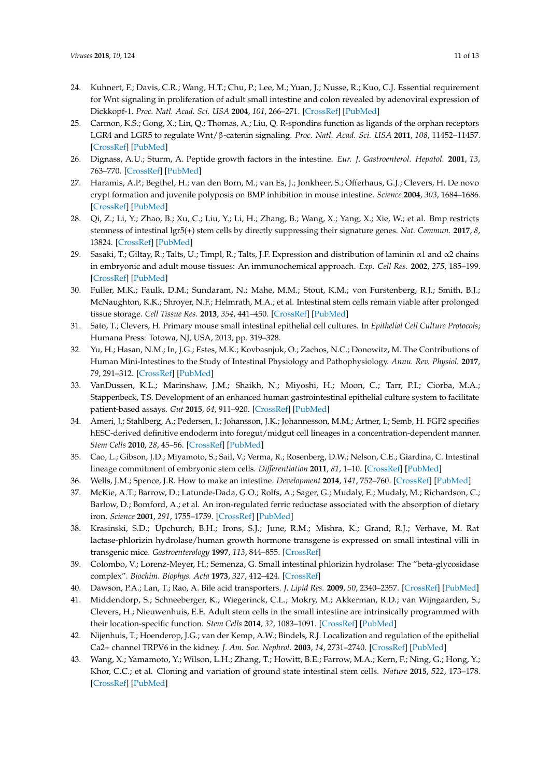- <span id="page-10-0"></span>24. Kuhnert, F.; Davis, C.R.; Wang, H.T.; Chu, P.; Lee, M.; Yuan, J.; Nusse, R.; Kuo, C.J. Essential requirement for Wnt signaling in proliferation of adult small intestine and colon revealed by adenoviral expression of Dickkopf-1. *Proc. Natl. Acad. Sci. USA* **2004**, *101*, 266–271. [\[CrossRef\]](http://dx.doi.org/10.1073/pnas.2536800100) [\[PubMed\]](http://www.ncbi.nlm.nih.gov/pubmed/14695885)
- <span id="page-10-1"></span>25. Carmon, K.S.; Gong, X.; Lin, Q.; Thomas, A.; Liu, Q. R-spondins function as ligands of the orphan receptors LGR4 and LGR5 to regulate Wnt/β-catenin signaling. *Proc. Natl. Acad. Sci. USA* **2011**, *108*, 11452–11457. [\[CrossRef\]](http://dx.doi.org/10.1073/pnas.1106083108) [\[PubMed\]](http://www.ncbi.nlm.nih.gov/pubmed/21693646)
- <span id="page-10-2"></span>26. Dignass, A.U.; Sturm, A. Peptide growth factors in the intestine. *Eur. J. Gastroenterol. Hepatol.* **2001**, *13*, 763–770. [\[CrossRef\]](http://dx.doi.org/10.1097/00042737-200107000-00002) [\[PubMed\]](http://www.ncbi.nlm.nih.gov/pubmed/11474304)
- <span id="page-10-3"></span>27. Haramis, A.P.; Begthel, H.; van den Born, M.; van Es, J.; Jonkheer, S.; Offerhaus, G.J.; Clevers, H. De novo crypt formation and juvenile polyposis on BMP inhibition in mouse intestine. *Science* **2004**, *303*, 1684–1686. [\[CrossRef\]](http://dx.doi.org/10.1126/science.1093587) [\[PubMed\]](http://www.ncbi.nlm.nih.gov/pubmed/15017003)
- <span id="page-10-4"></span>28. Qi, Z.; Li, Y.; Zhao, B.; Xu, C.; Liu, Y.; Li, H.; Zhang, B.; Wang, X.; Yang, X.; Xie, W.; et al. Bmp restricts stemness of intestinal lgr5(+) stem cells by directly suppressing their signature genes. *Nat. Commun.* **2017**, *8*, 13824. [\[CrossRef\]](http://dx.doi.org/10.1038/ncomms13824) [\[PubMed\]](http://www.ncbi.nlm.nih.gov/pubmed/28059064)
- <span id="page-10-5"></span>29. Sasaki, T.; Giltay, R.; Talts, U.; Timpl, R.; Talts, J.F. Expression and distribution of laminin α1 and α2 chains in embryonic and adult mouse tissues: An immunochemical approach. *Exp. Cell Res.* **2002**, *275*, 185–199. [\[CrossRef\]](http://dx.doi.org/10.1006/excr.2002.5499) [\[PubMed\]](http://www.ncbi.nlm.nih.gov/pubmed/11969289)
- <span id="page-10-6"></span>30. Fuller, M.K.; Faulk, D.M.; Sundaram, N.; Mahe, M.M.; Stout, K.M.; von Furstenberg, R.J.; Smith, B.J.; McNaughton, K.K.; Shroyer, N.F.; Helmrath, M.A.; et al. Intestinal stem cells remain viable after prolonged tissue storage. *Cell Tissue Res.* **2013**, *354*, 441–450. [\[CrossRef\]](http://dx.doi.org/10.1007/s00441-013-1674-y) [\[PubMed\]](http://www.ncbi.nlm.nih.gov/pubmed/23820734)
- <span id="page-10-7"></span>31. Sato, T.; Clevers, H. Primary mouse small intestinal epithelial cell cultures. In *Epithelial Cell Culture Protocols*; Humana Press: Totowa, NJ, USA, 2013; pp. 319–328.
- <span id="page-10-8"></span>32. Yu, H.; Hasan, N.M.; In, J.G.; Estes, M.K.; Kovbasnjuk, O.; Zachos, N.C.; Donowitz, M. The Contributions of Human Mini-Intestines to the Study of Intestinal Physiology and Pathophysiology. *Annu. Rev. Physiol.* **2017**, *79*, 291–312. [\[CrossRef\]](http://dx.doi.org/10.1146/annurev-physiol-021115-105211) [\[PubMed\]](http://www.ncbi.nlm.nih.gov/pubmed/28192061)
- <span id="page-10-9"></span>33. VanDussen, K.L.; Marinshaw, J.M.; Shaikh, N.; Miyoshi, H.; Moon, C.; Tarr, P.I.; Ciorba, M.A.; Stappenbeck, T.S. Development of an enhanced human gastrointestinal epithelial culture system to facilitate patient-based assays. *Gut* **2015**, *64*, 911–920. [\[CrossRef\]](http://dx.doi.org/10.1136/gutjnl-2013-306651) [\[PubMed\]](http://www.ncbi.nlm.nih.gov/pubmed/25007816)
- <span id="page-10-10"></span>34. Ameri, J.; Stahlberg, A.; Pedersen, J.; Johansson, J.K.; Johannesson, M.M.; Artner, I.; Semb, H. FGF2 specifies hESC-derived definitive endoderm into foregut/midgut cell lineages in a concentration-dependent manner. *Stem Cells* **2010**, *28*, 45–56. [\[CrossRef\]](http://dx.doi.org/10.1002/stem.249) [\[PubMed\]](http://www.ncbi.nlm.nih.gov/pubmed/19890880)
- <span id="page-10-11"></span>35. Cao, L.; Gibson, J.D.; Miyamoto, S.; Sail, V.; Verma, R.; Rosenberg, D.W.; Nelson, C.E.; Giardina, C. Intestinal lineage commitment of embryonic stem cells. *Differentiation* **2011**, *81*, 1–10. [\[CrossRef\]](http://dx.doi.org/10.1016/j.diff.2010.09.182) [\[PubMed\]](http://www.ncbi.nlm.nih.gov/pubmed/20934799)
- <span id="page-10-12"></span>36. Wells, J.M.; Spence, J.R. How to make an intestine. *Development* **2014**, *141*, 752–760. [\[CrossRef\]](http://dx.doi.org/10.1242/dev.097386) [\[PubMed\]](http://www.ncbi.nlm.nih.gov/pubmed/24496613)
- <span id="page-10-13"></span>37. McKie, A.T.; Barrow, D.; Latunde-Dada, G.O.; Rolfs, A.; Sager, G.; Mudaly, E.; Mudaly, M.; Richardson, C.; Barlow, D.; Bomford, A.; et al. An iron-regulated ferric reductase associated with the absorption of dietary iron. *Science* **2001**, *291*, 1755–1759. [\[CrossRef\]](http://dx.doi.org/10.1126/science.1057206) [\[PubMed\]](http://www.ncbi.nlm.nih.gov/pubmed/11230685)
- <span id="page-10-14"></span>38. Krasinski, S.D.; Upchurch, B.H.; Irons, S.J.; June, R.M.; Mishra, K.; Grand, R.J.; Verhave, M. Rat lactase-phlorizin hydrolase/human growth hormone transgene is expressed on small intestinal villi in transgenic mice. *Gastroenterology* **1997**, *113*, 844–855. [\[CrossRef\]](http://dx.doi.org/10.1016/S0016-5085(97)70179-3)
- <span id="page-10-15"></span>39. Colombo, V.; Lorenz-Meyer, H.; Semenza, G. Small intestinal phlorizin hydrolase: The "beta-glycosidase complex". *Biochim. Biophys. Acta* **1973**, *327*, 412–424. [\[CrossRef\]](http://dx.doi.org/10.1016/0005-2744(73)90425-7)
- <span id="page-10-16"></span>40. Dawson, P.A.; Lan, T.; Rao, A. Bile acid transporters. *J. Lipid Res.* **2009**, *50*, 2340–2357. [\[CrossRef\]](http://dx.doi.org/10.1194/jlr.R900012-JLR200) [\[PubMed\]](http://www.ncbi.nlm.nih.gov/pubmed/19498215)
- <span id="page-10-17"></span>41. Middendorp, S.; Schneeberger, K.; Wiegerinck, C.L.; Mokry, M.; Akkerman, R.D.; van Wijngaarden, S.; Clevers, H.; Nieuwenhuis, E.E. Adult stem cells in the small intestine are intrinsically programmed with their location-specific function. *Stem Cells* **2014**, *32*, 1083–1091. [\[CrossRef\]](http://dx.doi.org/10.1002/stem.1655) [\[PubMed\]](http://www.ncbi.nlm.nih.gov/pubmed/24496776)
- <span id="page-10-18"></span>42. Nijenhuis, T.; Hoenderop, J.G.; van der Kemp, A.W.; Bindels, R.J. Localization and regulation of the epithelial Ca2+ channel TRPV6 in the kidney. *J. Am. Soc. Nephrol.* **2003**, *14*, 2731–2740. [\[CrossRef\]](http://dx.doi.org/10.1097/01.ASN.0000094081.78893.E8) [\[PubMed\]](http://www.ncbi.nlm.nih.gov/pubmed/14569082)
- <span id="page-10-19"></span>43. Wang, X.; Yamamoto, Y.; Wilson, L.H.; Zhang, T.; Howitt, B.E.; Farrow, M.A.; Kern, F.; Ning, G.; Hong, Y.; Khor, C.C.; et al. Cloning and variation of ground state intestinal stem cells. *Nature* **2015**, *522*, 173–178. [\[CrossRef\]](http://dx.doi.org/10.1038/nature14484) [\[PubMed\]](http://www.ncbi.nlm.nih.gov/pubmed/26040716)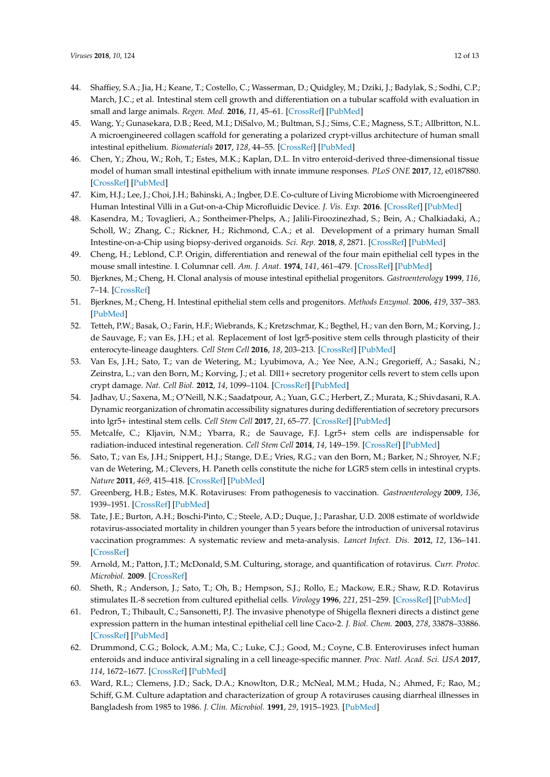- <span id="page-11-0"></span>44. Shaffiey, S.A.; Jia, H.; Keane, T.; Costello, C.; Wasserman, D.; Quidgley, M.; Dziki, J.; Badylak, S.; Sodhi, C.P.; March, J.C.; et al. Intestinal stem cell growth and differentiation on a tubular scaffold with evaluation in small and large animals. *Regen. Med.* **2016**, *11*, 45–61. [\[CrossRef\]](http://dx.doi.org/10.2217/rme.15.70) [\[PubMed\]](http://www.ncbi.nlm.nih.gov/pubmed/26395928)
- <span id="page-11-2"></span>45. Wang, Y.; Gunasekara, D.B.; Reed, M.I.; DiSalvo, M.; Bultman, S.J.; Sims, C.E.; Magness, S.T.; Allbritton, N.L. A microengineered collagen scaffold for generating a polarized crypt-villus architecture of human small intestinal epithelium. *Biomaterials* **2017**, *128*, 44–55. [\[CrossRef\]](http://dx.doi.org/10.1016/j.biomaterials.2017.03.005) [\[PubMed\]](http://www.ncbi.nlm.nih.gov/pubmed/28288348)
- <span id="page-11-1"></span>46. Chen, Y.; Zhou, W.; Roh, T.; Estes, M.K.; Kaplan, D.L. In vitro enteroid-derived three-dimensional tissue model of human small intestinal epithelium with innate immune responses. *PLoS ONE* **2017**, *12*, e0187880. [\[CrossRef\]](http://dx.doi.org/10.1371/journal.pone.0187880) [\[PubMed\]](http://www.ncbi.nlm.nih.gov/pubmed/29186150)
- <span id="page-11-3"></span>47. Kim, H.J.; Lee, J.; Choi, J.H.; Bahinski, A.; Ingber, D.E. Co-culture of Living Microbiome with Microengineered Human Intestinal Villi in a Gut-on-a-Chip Microfluidic Device. *J. Vis. Exp.* **2016**. [\[CrossRef\]](http://dx.doi.org/10.3791/54344) [\[PubMed\]](http://www.ncbi.nlm.nih.gov/pubmed/27684630)
- <span id="page-11-4"></span>48. Kasendra, M.; Tovaglieri, A.; Sontheimer-Phelps, A.; Jalili-Firoozinezhad, S.; Bein, A.; Chalkiadaki, A.; Scholl, W.; Zhang, C.; Rickner, H.; Richmond, C.A.; et al. Development of a primary human Small Intestine-on-a-Chip using biopsy-derived organoids. *Sci. Rep.* **2018**, *8*, 2871. [\[CrossRef\]](http://dx.doi.org/10.1038/s41598-018-21201-7) [\[PubMed\]](http://www.ncbi.nlm.nih.gov/pubmed/29440725)
- <span id="page-11-5"></span>49. Cheng, H.; Leblond, C.P. Origin, differentiation and renewal of the four main epithelial cell types in the mouse small intestine. I. Columnar cell. *Am. J. Anat.* **1974**, *141*, 461–479. [\[CrossRef\]](http://dx.doi.org/10.1002/aja.1001410403) [\[PubMed\]](http://www.ncbi.nlm.nih.gov/pubmed/4440632)
- <span id="page-11-6"></span>50. Bjerknes, M.; Cheng, H. Clonal analysis of mouse intestinal epithelial progenitors. *Gastroenterology* **1999**, *116*, 7–14. [\[CrossRef\]](http://dx.doi.org/10.1016/S0016-5085(99)70222-2)
- <span id="page-11-7"></span>51. Bjerknes, M.; Cheng, H. Intestinal epithelial stem cells and progenitors. *Methods Enzymol.* **2006**, *419*, 337–383. [\[PubMed\]](http://www.ncbi.nlm.nih.gov/pubmed/17141062)
- <span id="page-11-8"></span>52. Tetteh, P.W.; Basak, O.; Farin, H.F.; Wiebrands, K.; Kretzschmar, K.; Begthel, H.; van den Born, M.; Korving, J.; de Sauvage, F.; van Es, J.H.; et al. Replacement of lost lgr5-positive stem cells through plasticity of their enterocyte-lineage daughters. *Cell Stem Cell* **2016**, *18*, 203–213. [\[CrossRef\]](http://dx.doi.org/10.1016/j.stem.2016.01.001) [\[PubMed\]](http://www.ncbi.nlm.nih.gov/pubmed/26831517)
- <span id="page-11-9"></span>53. Van Es, J.H.; Sato, T.; van de Wetering, M.; Lyubimova, A.; Yee Nee, A.N.; Gregorieff, A.; Sasaki, N.; Zeinstra, L.; van den Born, M.; Korving, J.; et al. Dll1+ secretory progenitor cells revert to stem cells upon crypt damage. *Nat. Cell Biol.* **2012**, *14*, 1099–1104. [\[CrossRef\]](http://dx.doi.org/10.1038/ncb2581) [\[PubMed\]](http://www.ncbi.nlm.nih.gov/pubmed/23000963)
- <span id="page-11-10"></span>54. Jadhav, U.; Saxena, M.; O'Neill, N.K.; Saadatpour, A.; Yuan, G.C.; Herbert, Z.; Murata, K.; Shivdasani, R.A. Dynamic reorganization of chromatin accessibility signatures during dedifferentiation of secretory precursors into lgr5+ intestinal stem cells. *Cell Stem Cell* **2017**, *21*, 65–77. [\[CrossRef\]](http://dx.doi.org/10.1016/j.stem.2017.05.001) [\[PubMed\]](http://www.ncbi.nlm.nih.gov/pubmed/28648363)
- <span id="page-11-11"></span>55. Metcalfe, C.; Kljavin, N.M.; Ybarra, R.; de Sauvage, F.J. Lgr5+ stem cells are indispensable for radiation-induced intestinal regeneration. *Cell Stem Cell* **2014**, *14*, 149–159. [\[CrossRef\]](http://dx.doi.org/10.1016/j.stem.2013.11.008) [\[PubMed\]](http://www.ncbi.nlm.nih.gov/pubmed/24332836)
- <span id="page-11-12"></span>56. Sato, T.; van Es, J.H.; Snippert, H.J.; Stange, D.E.; Vries, R.G.; van den Born, M.; Barker, N.; Shroyer, N.F.; van de Wetering, M.; Clevers, H. Paneth cells constitute the niche for LGR5 stem cells in intestinal crypts. *Nature* **2011**, *469*, 415–418. [\[CrossRef\]](http://dx.doi.org/10.1038/nature09637) [\[PubMed\]](http://www.ncbi.nlm.nih.gov/pubmed/21113151)
- <span id="page-11-13"></span>57. Greenberg, H.B.; Estes, M.K. Rotaviruses: From pathogenesis to vaccination. *Gastroenterology* **2009**, *136*, 1939–1951. [\[CrossRef\]](http://dx.doi.org/10.1053/j.gastro.2009.02.076) [\[PubMed\]](http://www.ncbi.nlm.nih.gov/pubmed/19457420)
- <span id="page-11-14"></span>58. Tate, J.E.; Burton, A.H.; Boschi-Pinto, C.; Steele, A.D.; Duque, J.; Parashar, U.D. 2008 estimate of worldwide rotavirus-associated mortality in children younger than 5 years before the introduction of universal rotavirus vaccination programmes: A systematic review and meta-analysis. *Lancet Infect. Dis.* **2012**, *12*, 136–141. [\[CrossRef\]](http://dx.doi.org/10.1016/S1473-3099(11)70253-5)
- <span id="page-11-15"></span>59. Arnold, M.; Patton, J.T.; McDonald, S.M. Culturing, storage, and quantification of rotavirus. *Curr. Protoc. Microbiol.* **2009**. [\[CrossRef\]](http://dx.doi.org/10.1002/9780471729259.mc15c03s15)
- 60. Sheth, R.; Anderson, J.; Sato, T.; Oh, B.; Hempson, S.J.; Rollo, E.; Mackow, E.R.; Shaw, R.D. Rotavirus stimulates IL-8 secretion from cultured epithelial cells. *Virology* **1996**, *221*, 251–259. [\[CrossRef\]](http://dx.doi.org/10.1006/viro.1996.0374) [\[PubMed\]](http://www.ncbi.nlm.nih.gov/pubmed/8661435)
- 61. Pedron, T.; Thibault, C.; Sansonetti, P.J. The invasive phenotype of Shigella flexneri directs a distinct gene expression pattern in the human intestinal epithelial cell line Caco-2. *J. Biol. Chem.* **2003**, *278*, 33878–33886. [\[CrossRef\]](http://dx.doi.org/10.1074/jbc.M303749200) [\[PubMed\]](http://www.ncbi.nlm.nih.gov/pubmed/12813033)
- <span id="page-11-17"></span>62. Drummond, C.G.; Bolock, A.M.; Ma, C.; Luke, C.J.; Good, M.; Coyne, C.B. Enteroviruses infect human enteroids and induce antiviral signaling in a cell lineage-specific manner. *Proc. Natl. Acad. Sci. USA* **2017**, *114*, 1672–1677. [\[CrossRef\]](http://dx.doi.org/10.1073/pnas.1617363114) [\[PubMed\]](http://www.ncbi.nlm.nih.gov/pubmed/28137842)
- <span id="page-11-16"></span>63. Ward, R.L.; Clemens, J.D.; Sack, D.A.; Knowlton, D.R.; McNeal, M.M.; Huda, N.; Ahmed, F.; Rao, M.; Schiff, G.M. Culture adaptation and characterization of group A rotaviruses causing diarrheal illnesses in Bangladesh from 1985 to 1986. *J. Clin. Microbiol.* **1991**, *29*, 1915–1923. [\[PubMed\]](http://www.ncbi.nlm.nih.gov/pubmed/1663517)